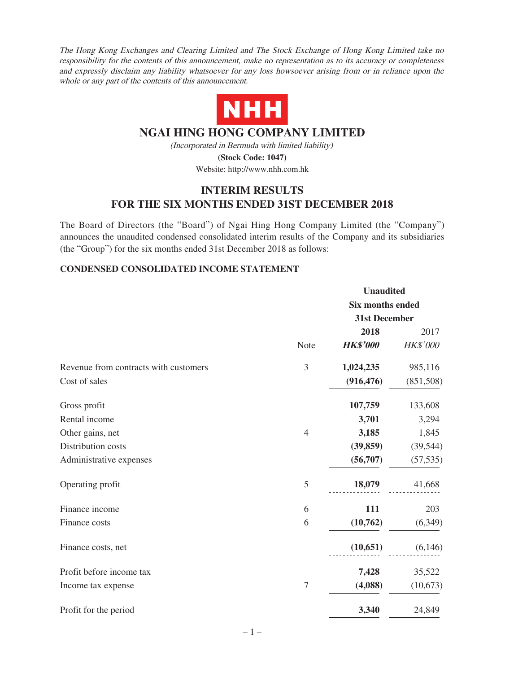The Hong Kong Exchanges and Clearing Limited and The Stock Exchange of Hong Kong Limited take no responsibility for the contents of this announcement, make no representation as to its accuracy or completeness and expressly disclaim any liability whatsoever for any loss howsoever arising from or in reliance upon the whole or any part of the contents of this announcement.



# **NGAI HING HONG COMPANY LIMITED**

(Incorporated in Bermuda with limited liability) **(Stock Code: 1047)**

Website: http://www.nhh.com.hk

# **INTERIM RESULTS FOR THE SIX MONTHS ENDED 31ST DECEMBER 2018**

The Board of Directors (the "Board") of Ngai Hing Hong Company Limited (the "Company") announces the unaudited condensed consolidated interim results of the Company and its subsidiaries (the "Group") for the six months ended 31st December 2018 as follows:

### **CONDENSED CONSOLIDATED INCOME STATEMENT**

|                                       | <b>Unaudited</b>        |                 |                 |  |
|---------------------------------------|-------------------------|-----------------|-----------------|--|
|                                       | <b>Six months ended</b> |                 |                 |  |
|                                       | <b>31st December</b>    |                 |                 |  |
|                                       |                         | 2018            | 2017            |  |
|                                       | Note                    | <b>HK\$'000</b> | <b>HK\$'000</b> |  |
| Revenue from contracts with customers | 3                       | 1,024,235       | 985,116         |  |
| Cost of sales                         |                         | (916, 476)      | (851,508)       |  |
| Gross profit                          |                         | 107,759         | 133,608         |  |
| Rental income                         |                         | 3,701           | 3,294           |  |
| Other gains, net                      | $\overline{4}$          | 3,185           | 1,845           |  |
| Distribution costs                    |                         | (39, 859)       | (39, 544)       |  |
| Administrative expenses               |                         | (56,707)        | (57, 535)       |  |
| Operating profit                      | 5                       | 18,079          | 41,668          |  |
| Finance income                        | 6                       | 111             | 203             |  |
| Finance costs                         | 6                       | (10,762)        | (6, 349)        |  |
| Finance costs, net                    |                         | (10, 651)       | (6,146)         |  |
| Profit before income tax              |                         | 7,428           | 35,522          |  |
| Income tax expense                    | $\tau$                  | (4,088)         | (10,673)        |  |
| Profit for the period                 |                         | 3,340           | 24,849          |  |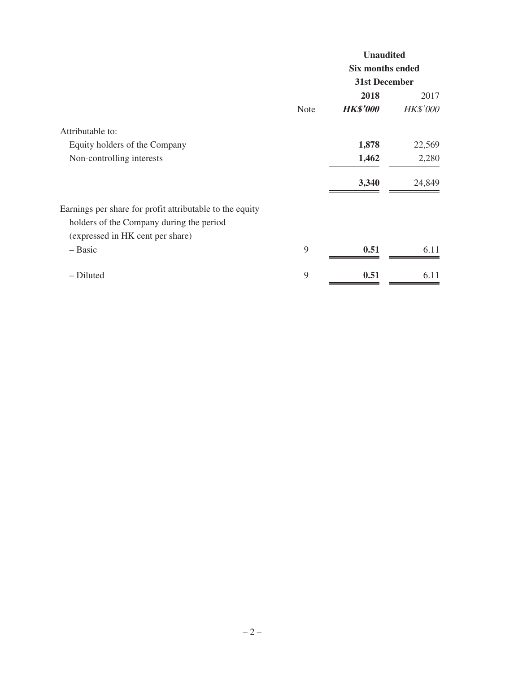|                                                          |             | <b>Unaudited</b>        |                 |
|----------------------------------------------------------|-------------|-------------------------|-----------------|
|                                                          |             | <b>Six months ended</b> |                 |
|                                                          |             | 31st December           |                 |
|                                                          |             | 2018                    | 2017            |
|                                                          | <b>Note</b> | <b>HK\$'000</b>         | <b>HK\$'000</b> |
| Attributable to:                                         |             |                         |                 |
| Equity holders of the Company                            |             | 1,878                   | 22,569          |
| Non-controlling interests                                |             | 1,462                   | 2,280           |
|                                                          |             | 3,340                   | 24,849          |
| Earnings per share for profit attributable to the equity |             |                         |                 |
| holders of the Company during the period                 |             |                         |                 |
| (expressed in HK cent per share)                         |             |                         |                 |
| - Basic                                                  | 9           | 0.51                    | 6.11            |
| - Diluted                                                | 9           | 0.51                    | 6.11            |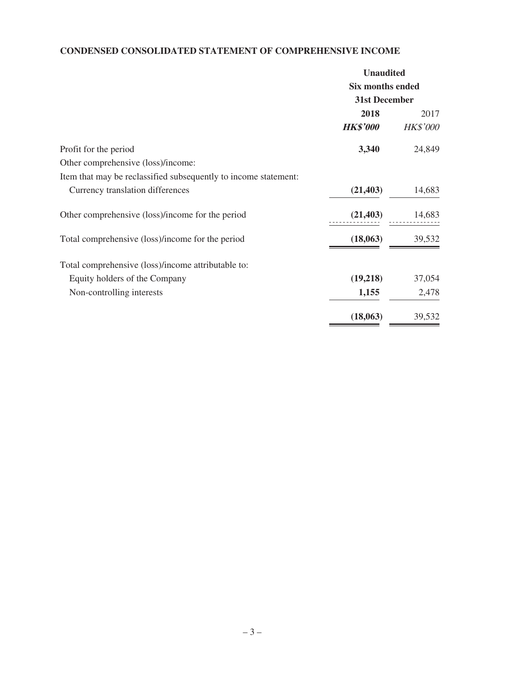# **CONDENSED CONSOLIDATED STATEMENT OF COMPREHENSIVE INCOME**

|                                                                 | <b>Unaudited</b>                         |                 |
|-----------------------------------------------------------------|------------------------------------------|-----------------|
|                                                                 | <b>Six months ended</b><br>31st December |                 |
|                                                                 |                                          |                 |
|                                                                 | 2018                                     | 2017            |
|                                                                 | <b>HK\$'000</b>                          | <b>HK\$'000</b> |
| Profit for the period                                           | 3,340                                    | 24,849          |
| Other comprehensive (loss)/income:                              |                                          |                 |
| Item that may be reclassified subsequently to income statement: |                                          |                 |
| Currency translation differences                                | (21, 403)                                | 14,683          |
| Other comprehensive (loss)/income for the period                | (21, 403)                                | 14,683          |
| Total comprehensive (loss)/income for the period                | (18,063)                                 | 39,532          |
| Total comprehensive (loss)/income attributable to:              |                                          |                 |
| Equity holders of the Company                                   | (19,218)                                 | 37,054          |
| Non-controlling interests                                       | 1,155                                    | 2,478           |
|                                                                 | (18,063)                                 | 39,532          |
|                                                                 |                                          |                 |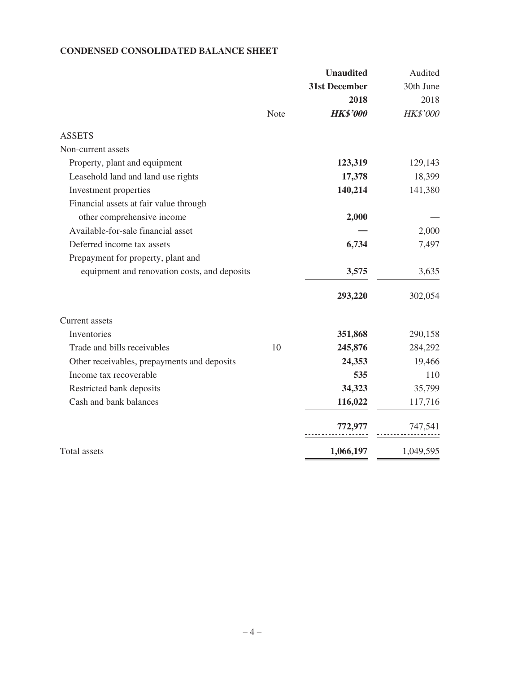### **CONDENSED CONSOLIDATED BALANCE SHEET**

|                                              |      | <b>Unaudited</b> | Audited   |
|----------------------------------------------|------|------------------|-----------|
|                                              |      | 31st December    | 30th June |
|                                              |      | 2018             | 2018      |
|                                              | Note | <b>HK\$'000</b>  | HK\$'000  |
| <b>ASSETS</b>                                |      |                  |           |
| Non-current assets                           |      |                  |           |
| Property, plant and equipment                |      | 123,319          | 129,143   |
| Leasehold land and land use rights           |      | 17,378           | 18,399    |
| Investment properties                        |      | 140,214          | 141,380   |
| Financial assets at fair value through       |      |                  |           |
| other comprehensive income                   |      | 2,000            |           |
| Available-for-sale financial asset           |      |                  | 2,000     |
| Deferred income tax assets                   |      | 6,734            | 7,497     |
| Prepayment for property, plant and           |      |                  |           |
| equipment and renovation costs, and deposits |      | 3,575            | 3,635     |
|                                              |      | 293,220          | 302,054   |
| Current assets                               |      |                  |           |
| Inventories                                  |      | 351,868          | 290,158   |
| Trade and bills receivables                  | 10   | 245,876          | 284,292   |
| Other receivables, prepayments and deposits  |      | 24,353           | 19,466    |
| Income tax recoverable                       |      | 535              | 110       |
| Restricted bank deposits                     |      | 34,323           | 35,799    |
| Cash and bank balances                       |      | 116,022          | 117,716   |
|                                              |      | 772,977          | 747,541   |
| <b>Total assets</b>                          |      | 1,066,197        | 1,049,595 |
|                                              |      |                  |           |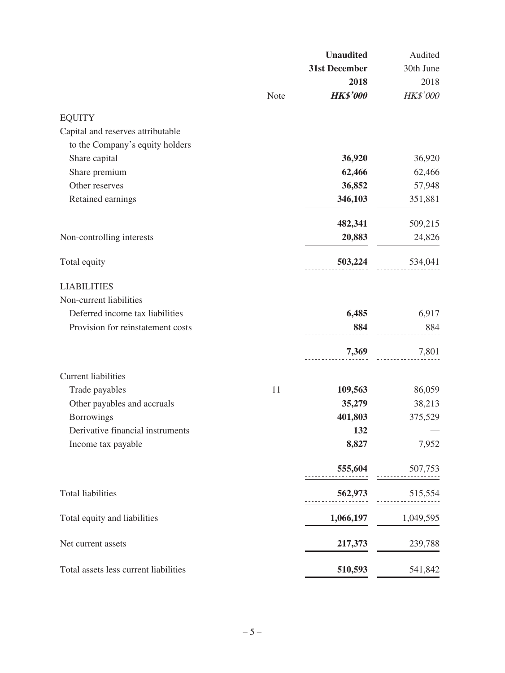|                                       |             | <b>Unaudited</b> | Audited   |
|---------------------------------------|-------------|------------------|-----------|
|                                       |             | 31st December    | 30th June |
|                                       |             | 2018             | 2018      |
|                                       | <b>Note</b> | <b>HK\$'000</b>  | HK\$'000  |
| <b>EQUITY</b>                         |             |                  |           |
| Capital and reserves attributable     |             |                  |           |
| to the Company's equity holders       |             |                  |           |
| Share capital                         |             | 36,920           | 36,920    |
| Share premium                         |             | 62,466           | 62,466    |
| Other reserves                        |             | 36,852           | 57,948    |
| Retained earnings                     |             | 346,103          | 351,881   |
|                                       |             | 482,341          | 509,215   |
| Non-controlling interests             |             | 20,883           | 24,826    |
| Total equity                          |             | 503,224          | 534,041   |
| <b>LIABILITIES</b>                    |             |                  |           |
| Non-current liabilities               |             |                  |           |
| Deferred income tax liabilities       |             | 6,485            | 6,917     |
| Provision for reinstatement costs     |             | 884              | 884       |
|                                       |             | 7,369            | 7,801     |
| <b>Current liabilities</b>            |             |                  |           |
| Trade payables                        | 11          | 109,563          | 86,059    |
| Other payables and accruals           |             | 35,279           | 38,213    |
| <b>Borrowings</b>                     |             | 401,803          | 375,529   |
| Derivative financial instruments      |             | 132              |           |
| Income tax payable                    |             | 8,827            | 7,952     |
|                                       |             | 555,604          | 507,753   |
| <b>Total liabilities</b>              |             | 562,973          | 515,554   |
| Total equity and liabilities          |             | 1,066,197        | 1,049,595 |
| Net current assets                    |             | 217,373          | 239,788   |
| Total assets less current liabilities |             | 510,593          | 541,842   |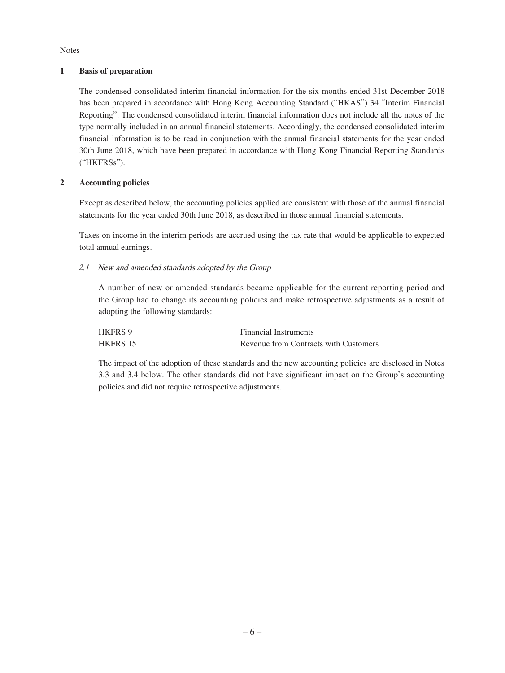Notes

### **1 Basis of preparation**

The condensed consolidated interim financial information for the six months ended 31st December 2018 has been prepared in accordance with Hong Kong Accounting Standard ("HKAS") 34 "Interim Financial Reporting". The condensed consolidated interim financial information does not include all the notes of the type normally included in an annual financial statements. Accordingly, the condensed consolidated interim financial information is to be read in conjunction with the annual financial statements for the year ended 30th June 2018, which have been prepared in accordance with Hong Kong Financial Reporting Standards ("HKFRSs").

### **2 Accounting policies**

Except as described below, the accounting policies applied are consistent with those of the annual financial statements for the year ended 30th June 2018, as described in those annual financial statements.

Taxes on income in the interim periods are accrued using the tax rate that would be applicable to expected total annual earnings.

2.1 New and amended standards adopted by the Group

A number of new or amended standards became applicable for the current reporting period and the Group had to change its accounting policies and make retrospective adjustments as a result of adopting the following standards:

| <b>HKFRS 9</b> | <b>Financial Instruments</b>          |
|----------------|---------------------------------------|
| HKFRS 15       | Revenue from Contracts with Customers |

The impact of the adoption of these standards and the new accounting policies are disclosed in Notes 3.3 and 3.4 below. The other standards did not have significant impact on the Group's accounting policies and did not require retrospective adjustments.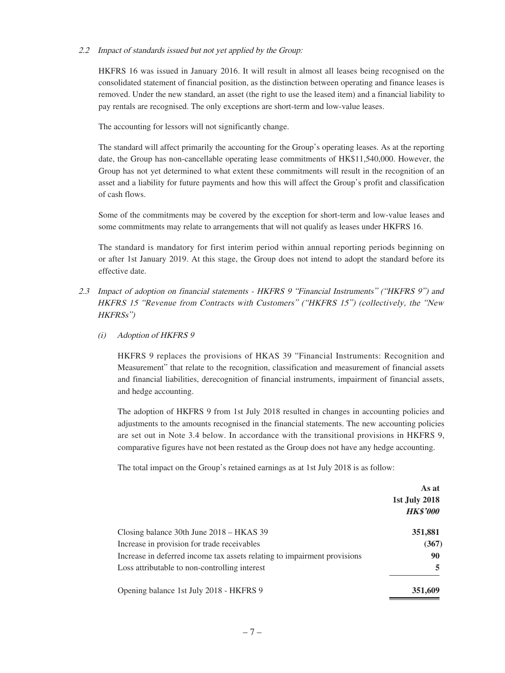### 2.2 Impact of standards issued but not yet applied by the Group:

HKFRS 16 was issued in January 2016. It will result in almost all leases being recognised on the consolidated statement of financial position, as the distinction between operating and finance leases is removed. Under the new standard, an asset (the right to use the leased item) and a financial liability to pay rentals are recognised. The only exceptions are short-term and low-value leases.

The accounting for lessors will not significantly change.

The standard will affect primarily the accounting for the Group's operating leases. As at the reporting date, the Group has non-cancellable operating lease commitments of HK\$11,540,000. However, the Group has not yet determined to what extent these commitments will result in the recognition of an asset and a liability for future payments and how this will affect the Group's profit and classification of cash flows.

Some of the commitments may be covered by the exception for short-term and low-value leases and some commitments may relate to arrangements that will not qualify as leases under HKFRS 16.

The standard is mandatory for first interim period within annual reporting periods beginning on or after 1st January 2019. At this stage, the Group does not intend to adopt the standard before its effective date.

### 2.3 Impact of adoption on financial statements - HKFRS 9 "Financial Instruments" ("HKFRS 9") and HKFRS 15 "Revenue from Contracts with Customers" ("HKFRS 15") (collectively, the "New HKFRSs")

#### (i) Adoption of HKFRS 9

HKFRS 9 replaces the provisions of HKAS 39 "Financial Instruments: Recognition and Measurement" that relate to the recognition, classification and measurement of financial assets and financial liabilities, derecognition of financial instruments, impairment of financial assets, and hedge accounting.

The adoption of HKFRS 9 from 1st July 2018 resulted in changes in accounting policies and adjustments to the amounts recognised in the financial statements. The new accounting policies are set out in Note 3.4 below. In accordance with the transitional provisions in HKFRS 9, comparative figures have not been restated as the Group does not have any hedge accounting.

The total impact on the Group's retained earnings as at 1st July 2018 is as follow:

|                                                                          | As at<br><b>1st July 2018</b><br><b>HK\$'000</b> |
|--------------------------------------------------------------------------|--------------------------------------------------|
| Closing balance 30th June 2018 – HKAS 39                                 | 351,881                                          |
| Increase in provision for trade receivables                              | (367)                                            |
| Increase in deferred income tax assets relating to impairment provisions | 90                                               |
| Loss attributable to non-controlling interest                            | 5                                                |
| Opening balance 1st July 2018 - HKFRS 9                                  | 351,609                                          |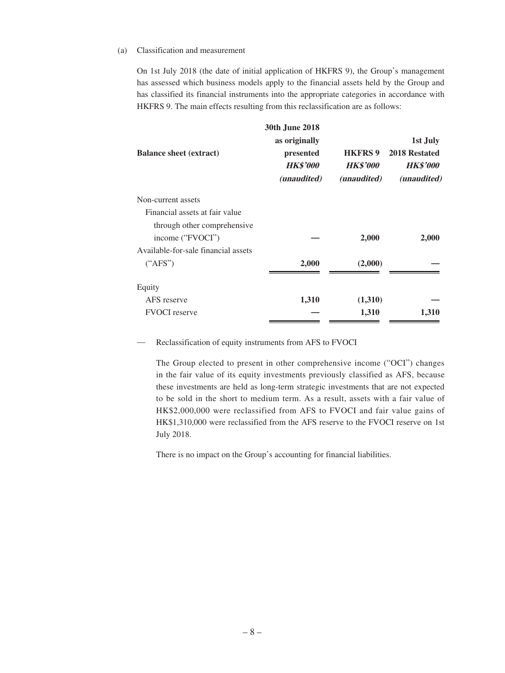#### (a) Classification and measurement

On 1st July 2018 (the date of initial application of HKFRS 9), the Group's management has assessed which business models apply to the financial assets held by the Group and has classified its financial instruments into the appropriate categories in accordance with HKFRS 9. The main effects resulting from this reclassification are as follows:

| <b>Balance sheet (extract)</b>      | <b>30th June 2018</b><br>as originally<br>presented<br><b>HK\$'000</b><br><i>(unaudited)</i> | <b>HKFRS 9</b><br><b>HK\$'000</b><br>( <i>unaudited</i> ) | 1st July<br>2018 Restated<br><b>HK\$'000</b><br>( <i>unaudited</i> ) |
|-------------------------------------|----------------------------------------------------------------------------------------------|-----------------------------------------------------------|----------------------------------------------------------------------|
| Non-current assets                  |                                                                                              |                                                           |                                                                      |
| Financial assets at fair value      |                                                                                              |                                                           |                                                                      |
| through other comprehensive         |                                                                                              |                                                           |                                                                      |
| income ("FVOCI")                    |                                                                                              | 2,000                                                     | 2,000                                                                |
| Available-for-sale financial assets |                                                                                              |                                                           |                                                                      |
| ("APS")                             | 2,000                                                                                        | (2,000)                                                   |                                                                      |
| Equity                              |                                                                                              |                                                           |                                                                      |
| AFS reserve                         | 1,310                                                                                        | (1,310)                                                   |                                                                      |
| <b>FVOCI</b> reserve                |                                                                                              | 1,310                                                     | 1,310                                                                |

— Reclassification of equity instruments from AFS to FVOCI

 The Group elected to present in other comprehensive income ("OCI") changes in the fair value of its equity investments previously classified as AFS, because these investments are held as long-term strategic investments that are not expected to be sold in the short to medium term. As a result, assets with a fair value of HK\$2,000,000 were reclassified from AFS to FVOCI and fair value gains of HK\$1,310,000 were reclassified from the AFS reserve to the FVOCI reserve on 1st July 2018.

There is no impact on the Group's accounting for financial liabilities.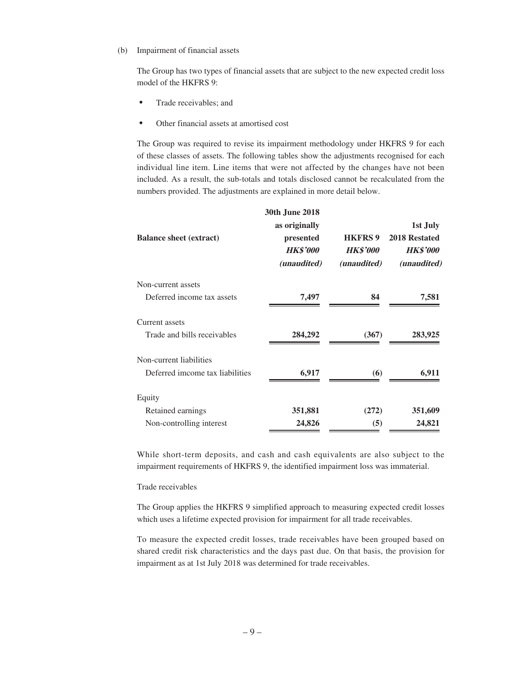(b) Impairment of financial assets

The Group has two types of financial assets that are subject to the new expected credit loss model of the HKFRS 9:

- Trade receivables: and
- Other financial assets at amortised cost

The Group was required to revise its impairment methodology under HKFRS 9 for each of these classes of assets. The following tables show the adjustments recognised for each individual line item. Line items that were not affected by the changes have not been included. As a result, the sub-totals and totals disclosed cannot be recalculated from the numbers provided. The adjustments are explained in more detail below.

| <b>Balance sheet (extract)</b>  | <b>30th June 2018</b><br>as originally<br>presented<br><b>HK\$'000</b><br>( <i>unaudited</i> ) | <b>HKFRS 9</b><br><b>HK\$'000</b><br>( <i>unaudited</i> ) | 1st July<br>2018 Restated<br><b>HK\$'000</b><br>( <i>unaudited</i> ) |
|---------------------------------|------------------------------------------------------------------------------------------------|-----------------------------------------------------------|----------------------------------------------------------------------|
| Non-current assets              |                                                                                                |                                                           |                                                                      |
| Deferred income tax assets      | 7,497                                                                                          | 84                                                        | 7,581                                                                |
| Current assets                  |                                                                                                |                                                           |                                                                      |
| Trade and bills receivables     | 284,292                                                                                        | (367)                                                     | 283,925                                                              |
| Non-current liabilities         |                                                                                                |                                                           |                                                                      |
| Deferred imcome tax liabilities | 6,917                                                                                          | (6)                                                       | 6,911                                                                |
| Equity                          |                                                                                                |                                                           |                                                                      |
| Retained earnings               | 351,881                                                                                        | (272)                                                     | 351,609                                                              |
| Non-controlling interest        | 24,826                                                                                         | (5)                                                       | 24,821                                                               |

While short-term deposits, and cash and cash equivalents are also subject to the impairment requirements of HKFRS 9, the identified impairment loss was immaterial.

#### Trade receivables

The Group applies the HKFRS 9 simplified approach to measuring expected credit losses which uses a lifetime expected provision for impairment for all trade receivables.

To measure the expected credit losses, trade receivables have been grouped based on shared credit risk characteristics and the days past due. On that basis, the provision for impairment as at 1st July 2018 was determined for trade receivables.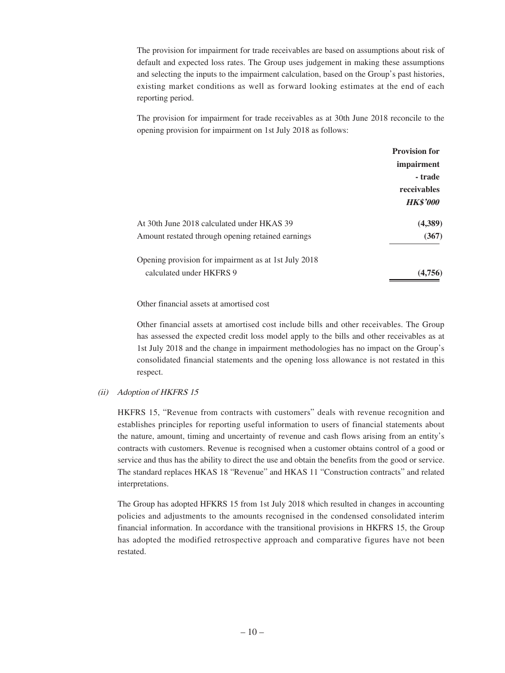The provision for impairment for trade receivables are based on assumptions about risk of default and expected loss rates. The Group uses judgement in making these assumptions and selecting the inputs to the impairment calculation, based on the Group's past histories, existing market conditions as well as forward looking estimates at the end of each reporting period.

The provision for impairment for trade receivables as at 30th June 2018 reconcile to the opening provision for impairment on 1st July 2018 as follows:

|                                                      | <b>Provision for</b> |
|------------------------------------------------------|----------------------|
|                                                      | impairment           |
|                                                      | - trade              |
|                                                      | receivables          |
|                                                      | <b>HK\$'000</b>      |
| At 30th June 2018 calculated under HKAS 39           | (4,389)              |
| Amount restated through opening retained earnings    | (367)                |
| Opening provision for impairment as at 1st July 2018 |                      |
| calculated under HKFRS 9                             | (4,756)              |

Other financial assets at amortised cost

Other financial assets at amortised cost include bills and other receivables. The Group has assessed the expected credit loss model apply to the bills and other receivables as at 1st July 2018 and the change in impairment methodologies has no impact on the Group's consolidated financial statements and the opening loss allowance is not restated in this respect.

#### (ii) Adoption of HKFRS 15

HKFRS 15, "Revenue from contracts with customers" deals with revenue recognition and establishes principles for reporting useful information to users of financial statements about the nature, amount, timing and uncertainty of revenue and cash flows arising from an entity's contracts with customers. Revenue is recognised when a customer obtains control of a good or service and thus has the ability to direct the use and obtain the benefits from the good or service. The standard replaces HKAS 18 "Revenue" and HKAS 11 "Construction contracts" and related interpretations.

The Group has adopted HFKRS 15 from 1st July 2018 which resulted in changes in accounting policies and adjustments to the amounts recognised in the condensed consolidated interim financial information. In accordance with the transitional provisions in HKFRS 15, the Group has adopted the modified retrospective approach and comparative figures have not been restated.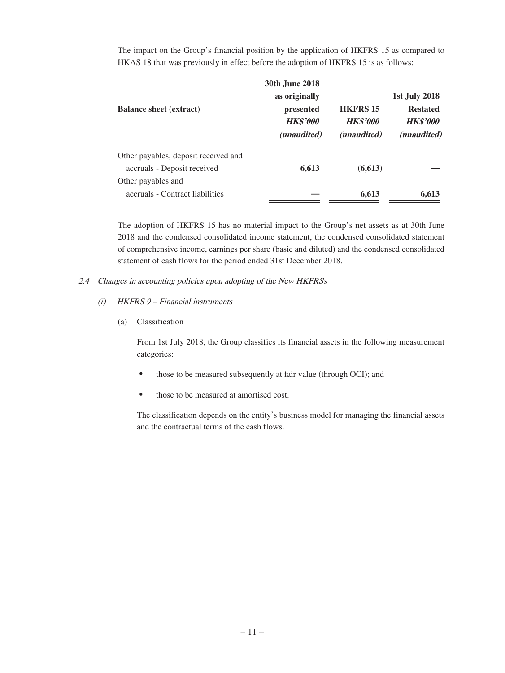The impact on the Group's financial position by the application of HKFRS 15 as compared to HKAS 18 that was previously in effect before the adoption of HKFRS 15 is as follows:

| <b>Balance sheet (extract)</b>                                      | <b>30th June 2018</b><br>as originally<br>presented<br><b>HK\$'000</b><br><i>(unaudited)</i> | <b>HKFRS 15</b><br><b>HK\$'000</b><br>( <i>unaudited</i> ) | <b>1st July 2018</b><br><b>Restated</b><br><b>HK\$'000</b><br><i>(unaudited)</i> |
|---------------------------------------------------------------------|----------------------------------------------------------------------------------------------|------------------------------------------------------------|----------------------------------------------------------------------------------|
| Other payables, deposit received and<br>accruals - Deposit received | 6,613                                                                                        | (6,613)                                                    |                                                                                  |
| Other payables and<br>accruals - Contract liabilities               |                                                                                              | 6,613                                                      | 6,613                                                                            |

The adoption of HKFRS 15 has no material impact to the Group's net assets as at 30th June 2018 and the condensed consolidated income statement, the condensed consolidated statement of comprehensive income, earnings per share (basic and diluted) and the condensed consolidated statement of cash flows for the period ended 31st December 2018.

#### 2.4 Changes in accounting policies upon adopting of the New HKFRSs

- (i) HKFRS 9 Financial instruments
	- (a) Classification

From 1st July 2018, the Group classifies its financial assets in the following measurement categories:

- those to be measured subsequently at fair value (through OCI); and
- those to be measured at amortised cost.

The classification depends on the entity's business model for managing the financial assets and the contractual terms of the cash flows.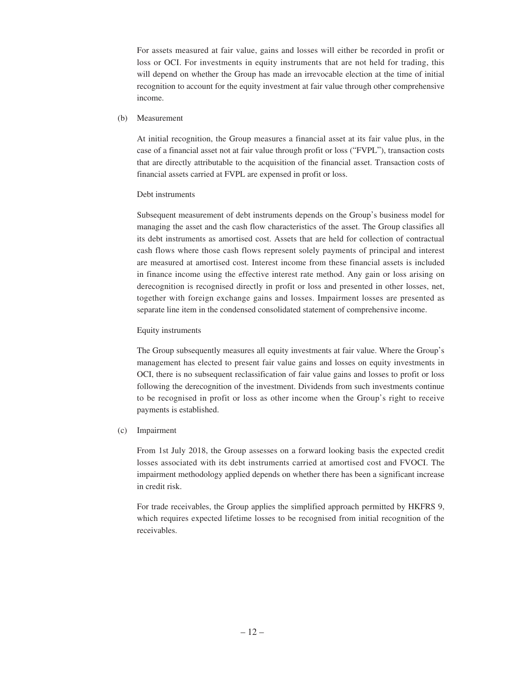For assets measured at fair value, gains and losses will either be recorded in profit or loss or OCI. For investments in equity instruments that are not held for trading, this will depend on whether the Group has made an irrevocable election at the time of initial recognition to account for the equity investment at fair value through other comprehensive income.

#### (b) Measurement

At initial recognition, the Group measures a financial asset at its fair value plus, in the case of a financial asset not at fair value through profit or loss ("FVPL"), transaction costs that are directly attributable to the acquisition of the financial asset. Transaction costs of financial assets carried at FVPL are expensed in profit or loss.

### Debt instruments

Subsequent measurement of debt instruments depends on the Group's business model for managing the asset and the cash flow characteristics of the asset. The Group classifies all its debt instruments as amortised cost. Assets that are held for collection of contractual cash flows where those cash flows represent solely payments of principal and interest are measured at amortised cost. Interest income from these financial assets is included in finance income using the effective interest rate method. Any gain or loss arising on derecognition is recognised directly in profit or loss and presented in other losses, net, together with foreign exchange gains and losses. Impairment losses are presented as separate line item in the condensed consolidated statement of comprehensive income.

### Equity instruments

The Group subsequently measures all equity investments at fair value. Where the Group's management has elected to present fair value gains and losses on equity investments in OCI, there is no subsequent reclassification of fair value gains and losses to profit or loss following the derecognition of the investment. Dividends from such investments continue to be recognised in profit or loss as other income when the Group's right to receive payments is established.

(c) Impairment

From 1st July 2018, the Group assesses on a forward looking basis the expected credit losses associated with its debt instruments carried at amortised cost and FVOCI. The impairment methodology applied depends on whether there has been a significant increase in credit risk.

For trade receivables, the Group applies the simplified approach permitted by HKFRS 9, which requires expected lifetime losses to be recognised from initial recognition of the receivables.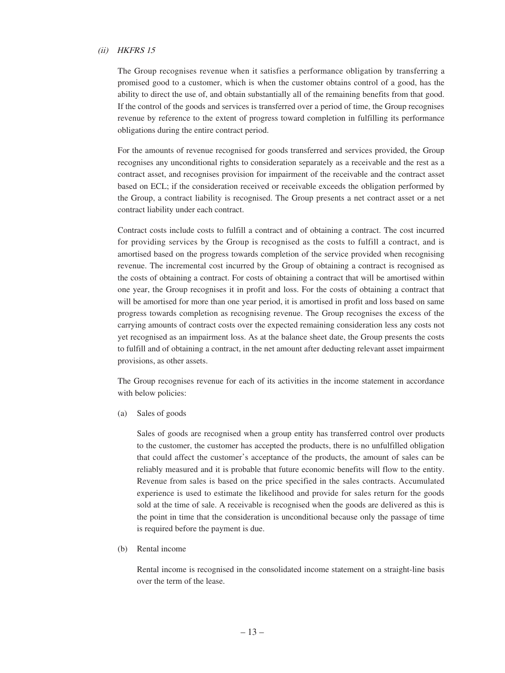#### (ii) HKFRS 15

The Group recognises revenue when it satisfies a performance obligation by transferring a promised good to a customer, which is when the customer obtains control of a good, has the ability to direct the use of, and obtain substantially all of the remaining benefits from that good. If the control of the goods and services is transferred over a period of time, the Group recognises revenue by reference to the extent of progress toward completion in fulfilling its performance obligations during the entire contract period.

For the amounts of revenue recognised for goods transferred and services provided, the Group recognises any unconditional rights to consideration separately as a receivable and the rest as a contract asset, and recognises provision for impairment of the receivable and the contract asset based on ECL; if the consideration received or receivable exceeds the obligation performed by the Group, a contract liability is recognised. The Group presents a net contract asset or a net contract liability under each contract.

Contract costs include costs to fulfill a contract and of obtaining a contract. The cost incurred for providing services by the Group is recognised as the costs to fulfill a contract, and is amortised based on the progress towards completion of the service provided when recognising revenue. The incremental cost incurred by the Group of obtaining a contract is recognised as the costs of obtaining a contract. For costs of obtaining a contract that will be amortised within one year, the Group recognises it in profit and loss. For the costs of obtaining a contract that will be amortised for more than one year period, it is amortised in profit and loss based on same progress towards completion as recognising revenue. The Group recognises the excess of the carrying amounts of contract costs over the expected remaining consideration less any costs not yet recognised as an impairment loss. As at the balance sheet date, the Group presents the costs to fulfill and of obtaining a contract, in the net amount after deducting relevant asset impairment provisions, as other assets.

The Group recognises revenue for each of its activities in the income statement in accordance with below policies:

(a) Sales of goods

Sales of goods are recognised when a group entity has transferred control over products to the customer, the customer has accepted the products, there is no unfulfilled obligation that could affect the customer's acceptance of the products, the amount of sales can be reliably measured and it is probable that future economic benefits will flow to the entity. Revenue from sales is based on the price specified in the sales contracts. Accumulated experience is used to estimate the likelihood and provide for sales return for the goods sold at the time of sale. A receivable is recognised when the goods are delivered as this is the point in time that the consideration is unconditional because only the passage of time is required before the payment is due.

(b) Rental income

Rental income is recognised in the consolidated income statement on a straight-line basis over the term of the lease.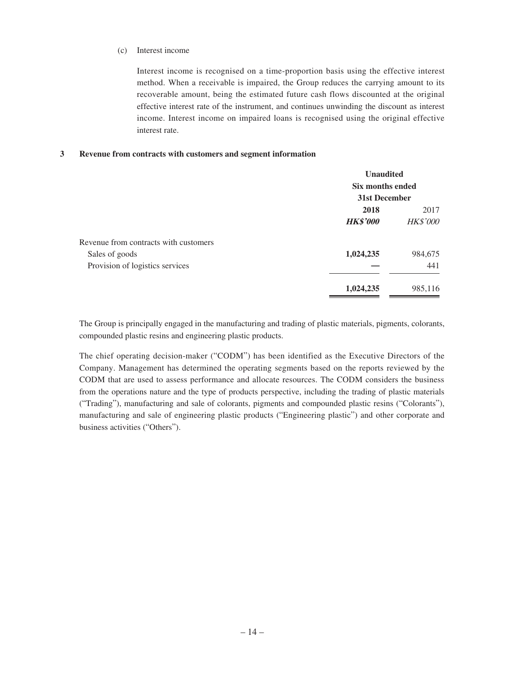#### (c) Interest income

Interest income is recognised on a time-proportion basis using the effective interest method. When a receivable is impaired, the Group reduces the carrying amount to its recoverable amount, being the estimated future cash flows discounted at the original effective interest rate of the instrument, and continues unwinding the discount as interest income. Interest income on impaired loans is recognised using the original effective interest rate.

### **3 Revenue from contracts with customers and segment information**

|                                       | <b>Unaudited</b> |                 |
|---------------------------------------|------------------|-----------------|
|                                       | Six months ended |                 |
|                                       | 31st December    |                 |
|                                       | 2018             | 2017            |
|                                       | <b>HK\$'000</b>  | <b>HK\$'000</b> |
| Revenue from contracts with customers |                  |                 |
| Sales of goods                        | 1,024,235        | 984,675         |
| Provision of logistics services       |                  | 441             |
|                                       | 1,024,235        | 985,116         |

The Group is principally engaged in the manufacturing and trading of plastic materials, pigments, colorants, compounded plastic resins and engineering plastic products.

The chief operating decision-maker ("CODM") has been identified as the Executive Directors of the Company. Management has determined the operating segments based on the reports reviewed by the CODM that are used to assess performance and allocate resources. The CODM considers the business from the operations nature and the type of products perspective, including the trading of plastic materials ("Trading"), manufacturing and sale of colorants, pigments and compounded plastic resins ("Colorants"), manufacturing and sale of engineering plastic products ("Engineering plastic") and other corporate and business activities ("Others").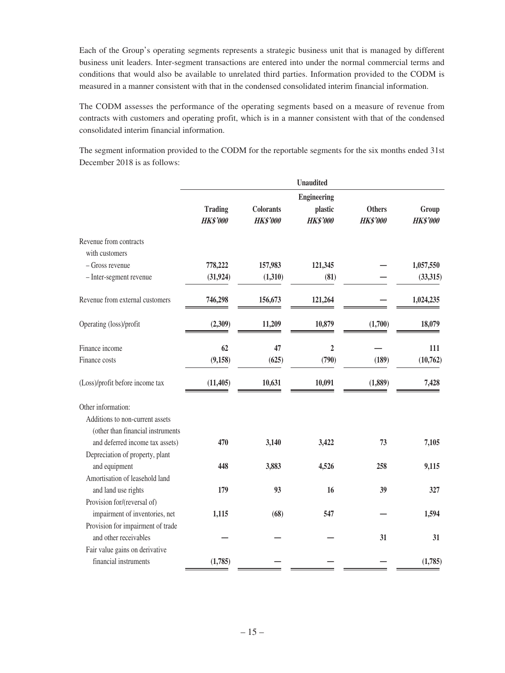Each of the Group's operating segments represents a strategic business unit that is managed by different business unit leaders. Inter-segment transactions are entered into under the normal commercial terms and conditions that would also be available to unrelated third parties. Information provided to the CODM is measured in a manner consistent with that in the condensed consolidated interim financial information.

The CODM assesses the performance of the operating segments based on a measure of revenue from contracts with customers and operating profit, which is in a manner consistent with that of the condensed consolidated interim financial information.

The segment information provided to the CODM for the reportable segments for the six months ended 31st December 2018 is as follows:

|                                   | <b>Unaudited</b>   |                  |                 |                 |                 |
|-----------------------------------|--------------------|------------------|-----------------|-----------------|-----------------|
|                                   | <b>Engineering</b> |                  |                 |                 |                 |
|                                   | <b>Trading</b>     | <b>Colorants</b> | plastic         | <b>Others</b>   | Group           |
|                                   | <b>HK\$'000</b>    | <b>HK\$'000</b>  | <b>HK\$'000</b> | <b>HK\$'000</b> | <b>HK\$'000</b> |
| Revenue from contracts            |                    |                  |                 |                 |                 |
| with customers                    |                    |                  |                 |                 |                 |
| - Gross revenue                   | 778,222            | 157,983          | 121,345         |                 | 1,057,550       |
| - Inter-segment revenue           | (31, 924)          | (1,310)          | (81)            |                 | (33,315)        |
| Revenue from external customers   | 746,298            | 156,673          | 121,264         |                 | 1,024,235       |
| Operating (loss)/profit           | (2,309)            | 11,209           | 10,879          | (1,700)         | 18,079          |
| Finance income                    | 62                 | 47               | $\overline{2}$  |                 | 111             |
| Finance costs                     | (9, 158)           | (625)            | (790)           | (189)           | (10,762)        |
| (Loss)/profit before income tax   | (11, 405)          | 10,631           | 10,091          | (1,889)         | 7,428           |
| Other information:                |                    |                  |                 |                 |                 |
| Additions to non-current assets   |                    |                  |                 |                 |                 |
| (other than financial instruments |                    |                  |                 |                 |                 |
| and deferred income tax assets)   | 470                | 3,140            | 3,422           | 73              | 7,105           |
| Depreciation of property, plant   |                    |                  |                 |                 |                 |
| and equipment                     | 448                | 3,883            | 4,526           | 258             | 9,115           |
| Amortisation of leasehold land    |                    |                  |                 |                 |                 |
| and land use rights               | 179                | 93               | 16              | 39              | 327             |
| Provision for/(reversal of)       |                    |                  |                 |                 |                 |
| impairment of inventories, net    | 1,115              | (68)             | 547             |                 | 1,594           |
| Provision for impairment of trade |                    |                  |                 |                 |                 |
| and other receivables             |                    |                  |                 | 31              | 31              |
| Fair value gains on derivative    |                    |                  |                 |                 |                 |
| financial instruments             | (1,785)            |                  |                 |                 | (1,785)         |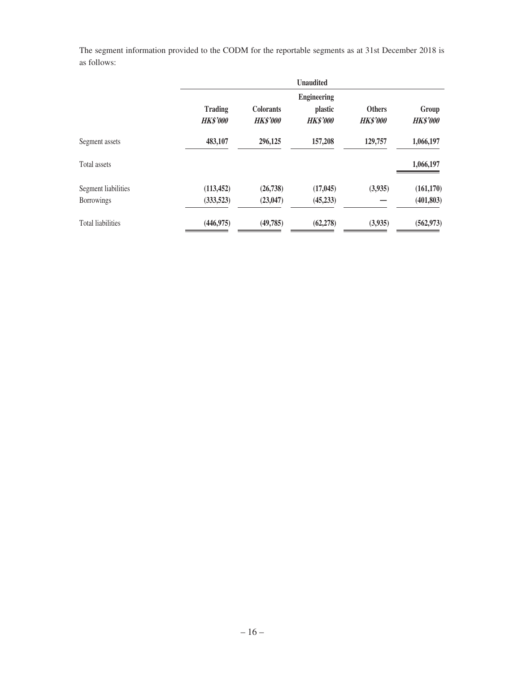The segment information provided to the CODM for the reportable segments as at 31st December 2018 is as follows:

|                          |                                   |                                     | <b>Unaudited</b>                                 |                                  |                          |
|--------------------------|-----------------------------------|-------------------------------------|--------------------------------------------------|----------------------------------|--------------------------|
|                          | <b>Trading</b><br><b>HK\$'000</b> | <b>Colorants</b><br><b>HK\$'000</b> | <b>Engineering</b><br>plastic<br><b>HK\$'000</b> | <b>Others</b><br><b>HK\$'000</b> | Group<br><b>HK\$'000</b> |
| Segment assets           | 483,107                           | 296,125                             | 157,208                                          | 129,757                          | 1,066,197                |
| Total assets             |                                   |                                     |                                                  |                                  | 1,066,197                |
| Segment liabilities      | (113, 452)                        | (26,738)                            | (17, 045)                                        | (3,935)                          | (161, 170)               |
| <b>Borrowings</b>        | (333,523)                         | (23, 047)                           | (45, 233)                                        |                                  | (401, 803)               |
| <b>Total liabilities</b> | (446, 975)                        | (49,785)                            | (62, 278)                                        | (3,935)                          | (562, 973)               |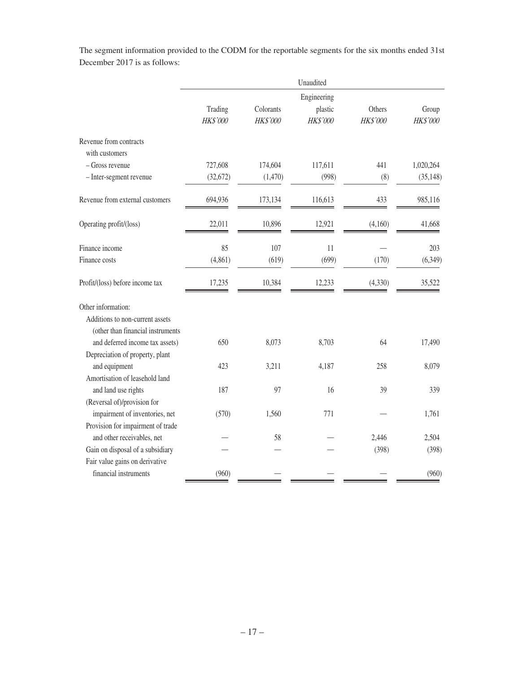The segment information provided to the CODM for the reportable segments for the six months ended 31st December 2017 is as follows:

|                                   | Unaudited           |                       |                     |                    |                   |
|-----------------------------------|---------------------|-----------------------|---------------------|--------------------|-------------------|
|                                   | Engineering         |                       |                     |                    |                   |
|                                   | Trading<br>HK\$'000 | Colorants<br>HK\$'000 | plastic<br>HK\$'000 | Others<br>HK\$'000 | Group<br>HK\$'000 |
| Revenue from contracts            |                     |                       |                     |                    |                   |
| with customers                    |                     |                       |                     |                    |                   |
| - Gross revenue                   | 727,608             | 174,604               | 117,611             | 441                | 1,020,264         |
| - Inter-segment revenue           | (32,672)            | (1,470)               | (998)               | (8)                | (35, 148)         |
| Revenue from external customers   | 694,936             | 173,134               | 116,613             | 433                | 985,116           |
| Operating profit/(loss)           | 22,011              | 10,896                | 12,921              | (4,160)            | 41,668            |
| Finance income                    | 85                  | 107                   | 11                  |                    | 203               |
| Finance costs                     | (4, 861)            | (619)                 | (699)               | (170)              | (6,349)           |
| Profit/(loss) before income tax   | 17,235              | 10,384                | 12,233              | (4,330)            | 35,522            |
| Other information:                |                     |                       |                     |                    |                   |
| Additions to non-current assets   |                     |                       |                     |                    |                   |
| (other than financial instruments |                     |                       |                     |                    |                   |
| and deferred income tax assets)   | 650                 | 8,073                 | 8,703               | 64                 | 17,490            |
| Depreciation of property, plant   |                     |                       |                     |                    |                   |
| and equipment                     | 423                 | 3,211                 | 4,187               | 258                | 8,079             |
| Amortisation of leasehold land    |                     |                       |                     |                    |                   |
| and land use rights               | 187                 | 97                    | 16                  | 39                 | 339               |
| (Reversal of)/provision for       |                     |                       |                     |                    |                   |
| impairment of inventories, net    | (570)               | 1,560                 | 771                 |                    | 1,761             |
| Provision for impairment of trade |                     |                       |                     |                    |                   |
| and other receivables, net        |                     | 58                    |                     | 2,446              | 2,504             |
| Gain on disposal of a subsidiary  |                     |                       |                     | (398)              | (398)             |
| Fair value gains on derivative    |                     |                       |                     |                    |                   |
| financial instruments             | (960)               |                       |                     |                    | (960)             |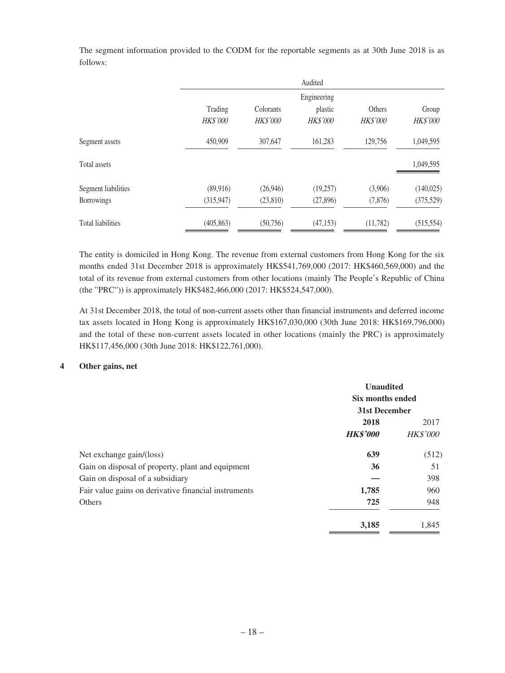The segment information provided to the CODM for the reportable segments as at 30th June 2018 is as follows:

|                          | Audited                    |                       |                                    |                    |                   |
|--------------------------|----------------------------|-----------------------|------------------------------------|--------------------|-------------------|
|                          | Trading<br><b>HK\$'000</b> | Colorants<br>HK\$'000 | Engineering<br>plastic<br>HK\$'000 | Others<br>HK\$'000 | Group<br>HK\$'000 |
| Segment assets           | 450,909                    | 307,647               | 161,283                            | 129,756            | 1,049,595         |
| Total assets             |                            |                       |                                    |                    | 1,049,595         |
| Segment liabilities      | (89,916)                   | (26,946)              | (19,257)                           | (3,906)            | (140, 025)        |
| <b>Borrowings</b>        | (315, 947)                 | (23, 810)             | (27,896)                           | (7, 876)           | (375,529)         |
| <b>Total liabilities</b> | (405, 863)                 | (50,756)              | (47, 153)                          | (11,782)           | (515, 554)        |

The entity is domiciled in Hong Kong. The revenue from external customers from Hong Kong for the six months ended 31st December 2018 is approximately HK\$541,769,000 (2017: HK\$460,569,000) and the total of its revenue from external customers from other locations (mainly The People's Republic of China (the "PRC")) is approximately HK\$482,466,000 (2017: HK\$524,547,000).

At 31st December 2018, the total of non-current assets other than financial instruments and deferred income tax assets located in Hong Kong is approximately HK\$167,030,000 (30th June 2018: HK\$169,796,000) and the total of these non-current assets located in other locations (mainly the PRC) is approximately HK\$117,456,000 (30th June 2018: HK\$122,761,000).

### **4 Other gains, net**

|                                                      | <b>Unaudited</b><br>Six months ended<br>31st December |                 |
|------------------------------------------------------|-------------------------------------------------------|-----------------|
|                                                      | 2018<br>2017                                          |                 |
|                                                      | <b>HK\$'000</b>                                       | <b>HK\$'000</b> |
| Net exchange gain/(loss)                             | 639                                                   | (512)           |
| Gain on disposal of property, plant and equipment    | 36                                                    | 51              |
| Gain on disposal of a subsidiary                     |                                                       | 398             |
| Fair value gains on derivative financial instruments | 1,785                                                 | 960             |
| <b>Others</b>                                        | 725                                                   | 948             |
|                                                      | 3,185                                                 | 1,845           |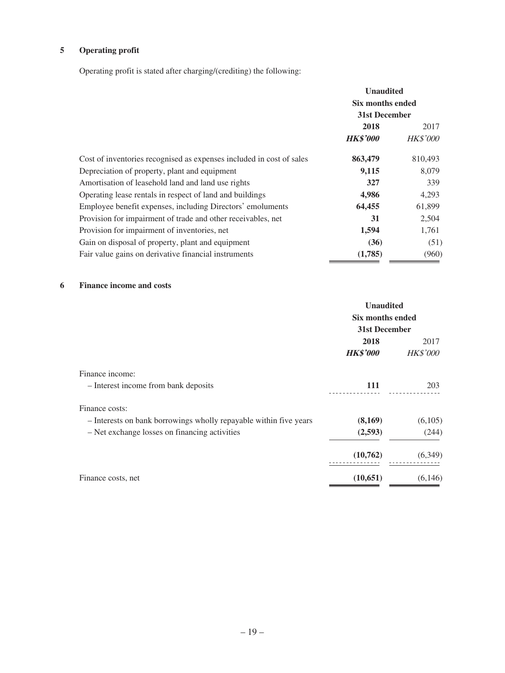# **5 Operating profit**

Operating profit is stated after charging/(crediting) the following:

|                                                                      | <b>Unaudited</b><br>Six months ended<br>31st December |                 |
|----------------------------------------------------------------------|-------------------------------------------------------|-----------------|
|                                                                      |                                                       |                 |
|                                                                      | 2018                                                  | 2017            |
|                                                                      | <b>HK\$'000</b>                                       | <b>HK\$'000</b> |
| Cost of inventories recognised as expenses included in cost of sales | 863,479                                               | 810,493         |
| Depreciation of property, plant and equipment                        | 9,115                                                 | 8,079           |
| Amortisation of leasehold land and land use rights                   | 327                                                   | 339             |
| Operating lease rentals in respect of land and buildings             | 4,986                                                 | 4,293           |
| Employee benefit expenses, including Directors' emoluments           | 64,455                                                | 61,899          |
| Provision for impairment of trade and other receivables, net         | 31                                                    | 2,504           |
| Provision for impairment of inventories, net                         | 1,594                                                 | 1,761           |
| Gain on disposal of property, plant and equipment                    | (36)                                                  | (51)            |
| Fair value gains on derivative financial instruments                 | (1,785)                                               | (960)           |

### **6 Finance income and costs**

|                                                                   | <b>Unaudited</b><br>Six months ended<br>31st December |                 |
|-------------------------------------------------------------------|-------------------------------------------------------|-----------------|
|                                                                   |                                                       |                 |
|                                                                   |                                                       |                 |
|                                                                   | 2018                                                  | 2017            |
|                                                                   | <b>HK\$'000</b>                                       | <b>HK\$'000</b> |
| Finance income:                                                   |                                                       |                 |
| - Interest income from bank deposits                              | 111                                                   | 203             |
| Finance costs:                                                    |                                                       |                 |
| - Interests on bank borrowings wholly repayable within five years | (8,169)                                               | (6,105)         |
| - Net exchange losses on financing activities                     | (2,593)                                               | (244)           |
|                                                                   | (10,762)                                              | (6,349)         |
| Finance costs, net                                                | (10, 651)                                             | (6,146)         |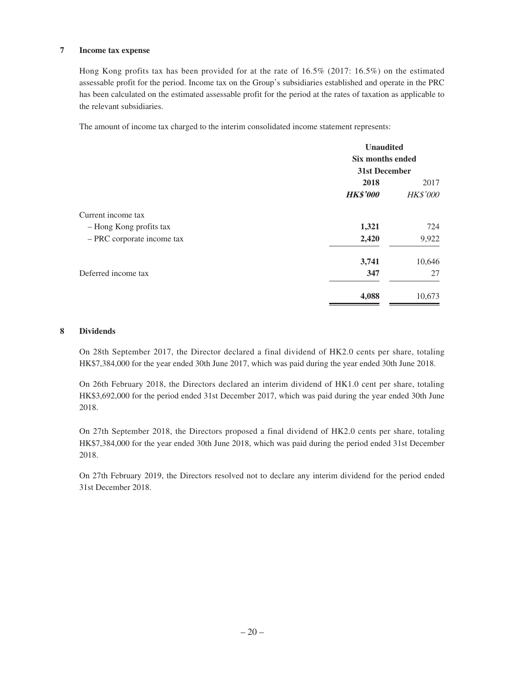### **7 Income tax expense**

Hong Kong profits tax has been provided for at the rate of 16.5% (2017: 16.5%) on the estimated assessable profit for the period. Income tax on the Group's subsidiaries established and operate in the PRC has been calculated on the estimated assessable profit for the period at the rates of taxation as applicable to the relevant subsidiaries.

The amount of income tax charged to the interim consolidated income statement represents:

| <b>Unaudited</b> |                 |  |
|------------------|-----------------|--|
| Six months ended |                 |  |
| 31st December    |                 |  |
| 2018             | 2017            |  |
| <b>HK\$'000</b>  | <b>HK\$'000</b> |  |
|                  |                 |  |
| 1,321            | 724             |  |
| 2,420            | 9,922           |  |
| 3,741            | 10,646          |  |
| 347              | 27              |  |
| 4,088            | 10,673          |  |
|                  |                 |  |

#### **8 Dividends**

On 28th September 2017, the Director declared a final dividend of HK2.0 cents per share, totaling HK\$7,384,000 for the year ended 30th June 2017, which was paid during the year ended 30th June 2018.

On 26th February 2018, the Directors declared an interim dividend of HK1.0 cent per share, totaling HK\$3,692,000 for the period ended 31st December 2017, which was paid during the year ended 30th June 2018.

On 27th September 2018, the Directors proposed a final dividend of HK2.0 cents per share, totaling HK\$7,384,000 for the year ended 30th June 2018, which was paid during the period ended 31st December 2018.

On 27th February 2019, the Directors resolved not to declare any interim dividend for the period ended 31st December 2018.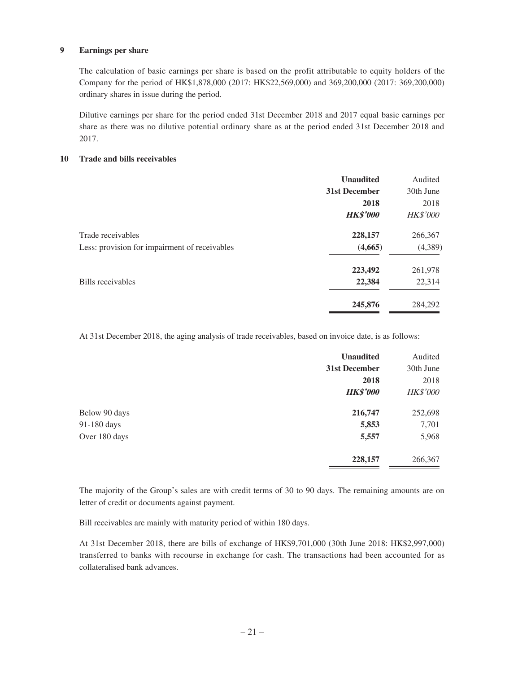### **9 Earnings per share**

The calculation of basic earnings per share is based on the profit attributable to equity holders of the Company for the period of HK\$1,878,000 (2017: HK\$22,569,000) and 369,200,000 (2017: 369,200,000) ordinary shares in issue during the period.

Dilutive earnings per share for the period ended 31st December 2018 and 2017 equal basic earnings per share as there was no dilutive potential ordinary share as at the period ended 31st December 2018 and 2017.

#### **10 Trade and bills receivables**

|                                               | <b>Unaudited</b> | Audited         |
|-----------------------------------------------|------------------|-----------------|
|                                               | 31st December    | 30th June       |
|                                               | 2018             | 2018            |
|                                               | <b>HK\$'000</b>  | <b>HK\$'000</b> |
| Trade receivables                             | 228,157          | 266,367         |
| Less: provision for impairment of receivables | (4,665)          | (4,389)         |
|                                               | 223,492          | 261,978         |
| Bills receivables                             | 22,384           | 22,314          |
|                                               | 245,876          | 284,292         |

At 31st December 2018, the aging analysis of trade receivables, based on invoice date, is as follows:

|               | <b>Unaudited</b> | Audited         |
|---------------|------------------|-----------------|
|               | 31st December    | 30th June       |
|               | 2018             | 2018            |
|               | <b>HK\$'000</b>  | <b>HK\$'000</b> |
| Below 90 days | 216,747          | 252,698         |
| 91-180 days   | 5,853            | 7,701           |
| Over 180 days | 5,557            | 5,968           |
|               | 228,157          | 266,367         |

The majority of the Group's sales are with credit terms of 30 to 90 days. The remaining amounts are on letter of credit or documents against payment.

Bill receivables are mainly with maturity period of within 180 days.

At 31st December 2018, there are bills of exchange of HK\$9,701,000 (30th June 2018: HK\$2,997,000) transferred to banks with recourse in exchange for cash. The transactions had been accounted for as collateralised bank advances.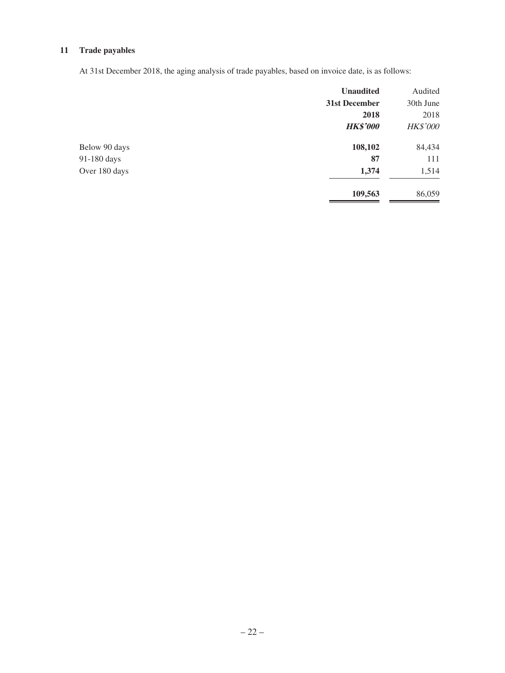# **11 Trade payables**

At 31st December 2018, the aging analysis of trade payables, based on invoice date, is as follows:

| <b>Unaudited</b> | Audited         |
|------------------|-----------------|
| 31st December    | 30th June       |
| 2018             | 2018            |
| <b>HK\$'000</b>  | <b>HK\$'000</b> |
| 108,102          | 84,434          |
| 87               | 111             |
| 1,374            | 1,514           |
| 109,563          | 86,059          |
|                  |                 |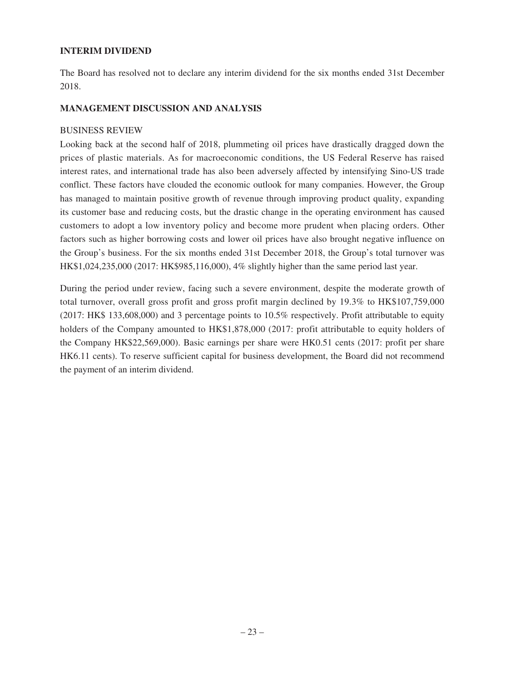### **INTERIM DIVIDEND**

The Board has resolved not to declare any interim dividend for the six months ended 31st December 2018.

### **MANAGEMENT DISCUSSION AND ANALYSIS**

### BUSINESS REVIEW

Looking back at the second half of 2018, plummeting oil prices have drastically dragged down the prices of plastic materials. As for macroeconomic conditions, the US Federal Reserve has raised interest rates, and international trade has also been adversely affected by intensifying Sino-US trade conflict. These factors have clouded the economic outlook for many companies. However, the Group has managed to maintain positive growth of revenue through improving product quality, expanding its customer base and reducing costs, but the drastic change in the operating environment has caused customers to adopt a low inventory policy and become more prudent when placing orders. Other factors such as higher borrowing costs and lower oil prices have also brought negative influence on the Group's business. For the six months ended 31st December 2018, the Group's total turnover was HK\$1,024,235,000 (2017: HK\$985,116,000), 4% slightly higher than the same period last year.

During the period under review, facing such a severe environment, despite the moderate growth of total turnover, overall gross profit and gross profit margin declined by 19.3% to HK\$107,759,000 (2017: HK\$ 133,608,000) and 3 percentage points to 10.5% respectively. Profit attributable to equity holders of the Company amounted to HK\$1,878,000 (2017: profit attributable to equity holders of the Company HK\$22,569,000). Basic earnings per share were HK0.51 cents (2017: profit per share HK6.11 cents). To reserve sufficient capital for business development, the Board did not recommend the payment of an interim dividend.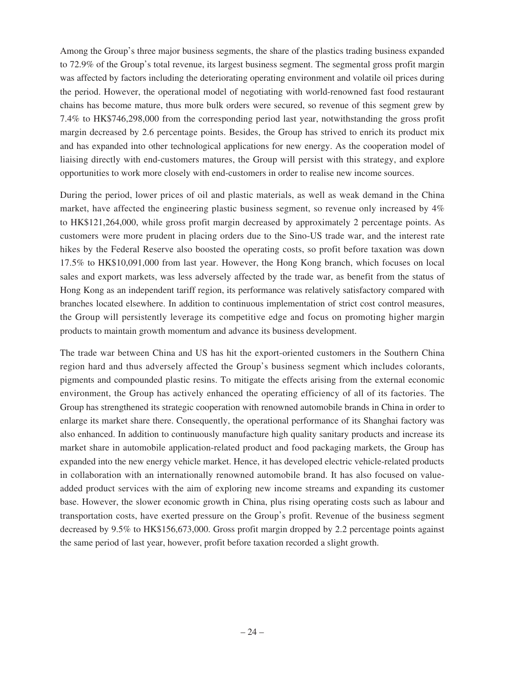Among the Group's three major business segments, the share of the plastics trading business expanded to 72.9% of the Group's total revenue, its largest business segment. The segmental gross profit margin was affected by factors including the deteriorating operating environment and volatile oil prices during the period. However, the operational model of negotiating with world-renowned fast food restaurant chains has become mature, thus more bulk orders were secured, so revenue of this segment grew by 7.4% to HK\$746,298,000 from the corresponding period last year, notwithstanding the gross profit margin decreased by 2.6 percentage points. Besides, the Group has strived to enrich its product mix and has expanded into other technological applications for new energy. As the cooperation model of liaising directly with end-customers matures, the Group will persist with this strategy, and explore opportunities to work more closely with end-customers in order to realise new income sources.

During the period, lower prices of oil and plastic materials, as well as weak demand in the China market, have affected the engineering plastic business segment, so revenue only increased by 4% to HK\$121,264,000, while gross profit margin decreased by approximately 2 percentage points. As customers were more prudent in placing orders due to the Sino-US trade war, and the interest rate hikes by the Federal Reserve also boosted the operating costs, so profit before taxation was down 17.5% to HK\$10,091,000 from last year. However, the Hong Kong branch, which focuses on local sales and export markets, was less adversely affected by the trade war, as benefit from the status of Hong Kong as an independent tariff region, its performance was relatively satisfactory compared with branches located elsewhere. In addition to continuous implementation of strict cost control measures, the Group will persistently leverage its competitive edge and focus on promoting higher margin products to maintain growth momentum and advance its business development.

The trade war between China and US has hit the export-oriented customers in the Southern China region hard and thus adversely affected the Group's business segment which includes colorants, pigments and compounded plastic resins. To mitigate the effects arising from the external economic environment, the Group has actively enhanced the operating efficiency of all of its factories. The Group has strengthened its strategic cooperation with renowned automobile brands in China in order to enlarge its market share there. Consequently, the operational performance of its Shanghai factory was also enhanced. In addition to continuously manufacture high quality sanitary products and increase its market share in automobile application-related product and food packaging markets, the Group has expanded into the new energy vehicle market. Hence, it has developed electric vehicle-related products in collaboration with an internationally renowned automobile brand. It has also focused on valueadded product services with the aim of exploring new income streams and expanding its customer base. However, the slower economic growth in China, plus rising operating costs such as labour and transportation costs, have exerted pressure on the Group's profit. Revenue of the business segment decreased by 9.5% to HK\$156,673,000. Gross profit margin dropped by 2.2 percentage points against the same period of last year, however, profit before taxation recorded a slight growth.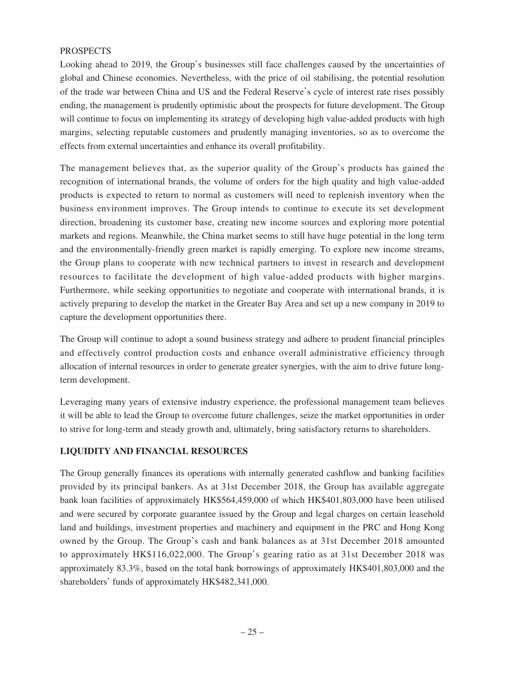### **PROSPECTS**

Looking ahead to 2019, the Group's businesses still face challenges caused by the uncertainties of global and Chinese economies. Nevertheless, with the price of oil stabilising, the potential resolution of the trade war between China and US and the Federal Reserve's cycle of interest rate rises possibly ending, the management is prudently optimistic about the prospects for future development. The Group will continue to focus on implementing its strategy of developing high value-added products with high margins, selecting reputable customers and prudently managing inventories, so as to overcome the effects from external uncertainties and enhance its overall profitability.

The management believes that, as the superior quality of the Group's products has gained the recognition of international brands, the volume of orders for the high quality and high value-added products is expected to return to normal as customers will need to replenish inventory when the business environment improves. The Group intends to continue to execute its set development direction, broadening its customer base, creating new income sources and exploring more potential markets and regions. Meanwhile, the China market seems to still have huge potential in the long term and the environmentally-friendly green market is rapidly emerging. To explore new income streams, the Group plans to cooperate with new technical partners to invest in research and development resources to facilitate the development of high value-added products with higher margins. Furthermore, while seeking opportunities to negotiate and cooperate with international brands, it is actively preparing to develop the market in the Greater Bay Area and set up a new company in 2019 to capture the development opportunities there.

The Group will continue to adopt a sound business strategy and adhere to prudent financial principles and effectively control production costs and enhance overall administrative efficiency through allocation of internal resources in order to generate greater synergies, with the aim to drive future longterm development.

Leveraging many years of extensive industry experience, the professional management team believes it will be able to lead the Group to overcome future challenges, seize the market opportunities in order to strive for long-term and steady growth and, ultimately, bring satisfactory returns to shareholders.

# **LIQUIDITY AND FINANCIAL RESOURCES**

The Group generally finances its operations with internally generated cashflow and banking facilities provided by its principal bankers. As at 31st December 2018, the Group has available aggregate bank loan facilities of approximately HK\$564,459,000 of which HK\$401,803,000 have been utilised and were secured by corporate guarantee issued by the Group and legal charges on certain leasehold land and buildings, investment properties and machinery and equipment in the PRC and Hong Kong owned by the Group. The Group's cash and bank balances as at 31st December 2018 amounted to approximately HK\$116,022,000. The Group's gearing ratio as at 31st December 2018 was approximately 83.3%, based on the total bank borrowings of approximately HK\$401,803,000 and the shareholders' funds of approximately HK\$482,341,000.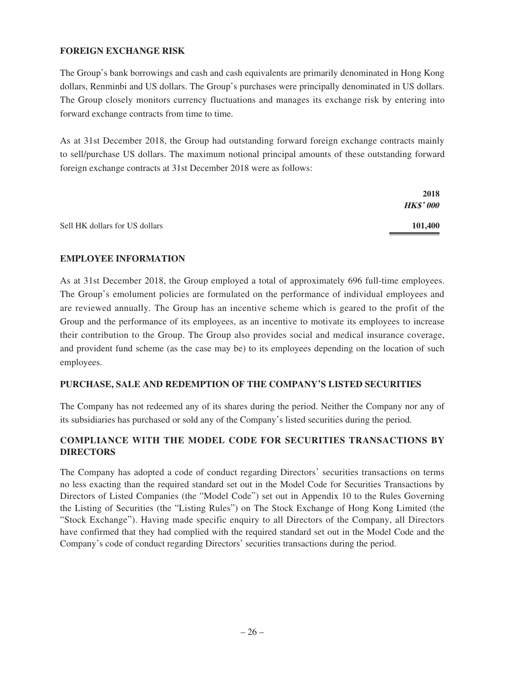## **FOREIGN EXCHANGE RISK**

The Group's bank borrowings and cash and cash equivalents are primarily denominated in Hong Kong dollars, Renminbi and US dollars. The Group's purchases were principally denominated in US dollars. The Group closely monitors currency fluctuations and manages its exchange risk by entering into forward exchange contracts from time to time.

As at 31st December 2018, the Group had outstanding forward foreign exchange contracts mainly to sell/purchase US dollars. The maximum notional principal amounts of these outstanding forward foreign exchange contracts at 31st December 2018 were as follows:

|                                | 2018<br><b>HK\$'</b> 000 |
|--------------------------------|--------------------------|
| Sell HK dollars for US dollars | 101,400                  |

## **EMPLOYEE INFORMATION**

As at 31st December 2018, the Group employed a total of approximately 696 full-time employees. The Group's emolument policies are formulated on the performance of individual employees and are reviewed annually. The Group has an incentive scheme which is geared to the profit of the Group and the performance of its employees, as an incentive to motivate its employees to increase their contribution to the Group. The Group also provides social and medical insurance coverage, and provident fund scheme (as the case may be) to its employees depending on the location of such employees.

### **PURCHASE, SALE AND REDEMPTION OF THE COMPANY'S LISTED SECURITIES**

The Company has not redeemed any of its shares during the period. Neither the Company nor any of its subsidiaries has purchased or sold any of the Company's listed securities during the period.

# **COMPLIANCE WITH THE MODEL CODE FOR SECURITIES TRANSACTIONS BY DIRECTORS**

The Company has adopted a code of conduct regarding Directors' securities transactions on terms no less exacting than the required standard set out in the Model Code for Securities Transactions by Directors of Listed Companies (the "Model Code") set out in Appendix 10 to the Rules Governing the Listing of Securities (the "Listing Rules") on The Stock Exchange of Hong Kong Limited (the "Stock Exchange"). Having made specific enquiry to all Directors of the Company, all Directors have confirmed that they had complied with the required standard set out in the Model Code and the Company's code of conduct regarding Directors' securities transactions during the period.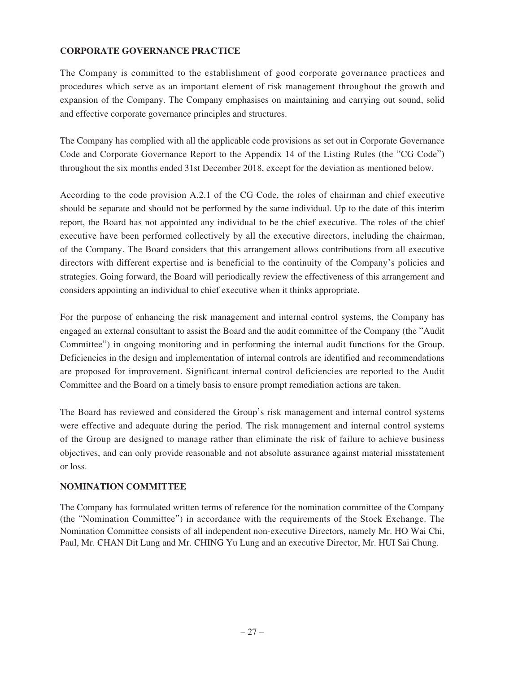## **CORPORATE GOVERNANCE PRACTICE**

The Company is committed to the establishment of good corporate governance practices and procedures which serve as an important element of risk management throughout the growth and expansion of the Company. The Company emphasises on maintaining and carrying out sound, solid and effective corporate governance principles and structures.

The Company has complied with all the applicable code provisions as set out in Corporate Governance Code and Corporate Governance Report to the Appendix 14 of the Listing Rules (the "CG Code") throughout the six months ended 31st December 2018, except for the deviation as mentioned below.

According to the code provision A.2.1 of the CG Code, the roles of chairman and chief executive should be separate and should not be performed by the same individual. Up to the date of this interim report, the Board has not appointed any individual to be the chief executive. The roles of the chief executive have been performed collectively by all the executive directors, including the chairman, of the Company. The Board considers that this arrangement allows contributions from all executive directors with different expertise and is beneficial to the continuity of the Company's policies and strategies. Going forward, the Board will periodically review the effectiveness of this arrangement and considers appointing an individual to chief executive when it thinks appropriate.

For the purpose of enhancing the risk management and internal control systems, the Company has engaged an external consultant to assist the Board and the audit committee of the Company (the "Audit Committee") in ongoing monitoring and in performing the internal audit functions for the Group. Deficiencies in the design and implementation of internal controls are identified and recommendations are proposed for improvement. Significant internal control deficiencies are reported to the Audit Committee and the Board on a timely basis to ensure prompt remediation actions are taken.

The Board has reviewed and considered the Group's risk management and internal control systems were effective and adequate during the period. The risk management and internal control systems of the Group are designed to manage rather than eliminate the risk of failure to achieve business objectives, and can only provide reasonable and not absolute assurance against material misstatement or loss.

### **NOMINATION COMMITTEE**

The Company has formulated written terms of reference for the nomination committee of the Company (the "Nomination Committee") in accordance with the requirements of the Stock Exchange. The Nomination Committee consists of all independent non-executive Directors, namely Mr. HO Wai Chi, Paul, Mr. CHAN Dit Lung and Mr. CHING Yu Lung and an executive Director, Mr. HUI Sai Chung.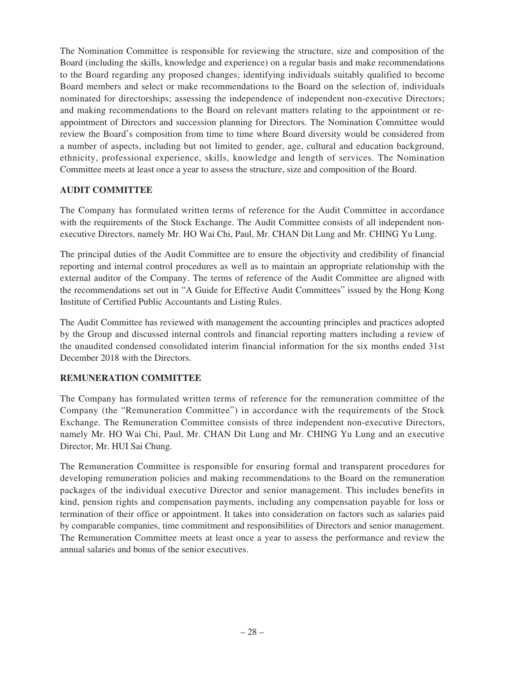The Nomination Committee is responsible for reviewing the structure, size and composition of the Board (including the skills, knowledge and experience) on a regular basis and make recommendations to the Board regarding any proposed changes; identifying individuals suitably qualified to become Board members and select or make recommendations to the Board on the selection of, individuals nominated for directorships; assessing the independence of independent non-executive Directors; and making recommendations to the Board on relevant matters relating to the appointment or reappointment of Directors and succession planning for Directors. The Nomination Committee would review the Board's composition from time to time where Board diversity would be considered from a number of aspects, including but not limited to gender, age, cultural and education background, ethnicity, professional experience, skills, knowledge and length of services. The Nomination Committee meets at least once a year to assess the structure, size and composition of the Board.

# **AUDIT COMMITTEE**

The Company has formulated written terms of reference for the Audit Committee in accordance with the requirements of the Stock Exchange. The Audit Committee consists of all independent nonexecutive Directors, namely Mr. HO Wai Chi, Paul, Mr. CHAN Dit Lung and Mr. CHING Yu Lung.

The principal duties of the Audit Committee are to ensure the objectivity and credibility of financial reporting and internal control procedures as well as to maintain an appropriate relationship with the external auditor of the Company. The terms of reference of the Audit Committee are aligned with the recommendations set out in "A Guide for Effective Audit Committees" issued by the Hong Kong Institute of Certified Public Accountants and Listing Rules.

The Audit Committee has reviewed with management the accounting principles and practices adopted by the Group and discussed internal controls and financial reporting matters including a review of the unaudited condensed consolidated interim financial information for the six months ended 31st December 2018 with the Directors.

### **REMUNERATION COMMITTEE**

The Company has formulated written terms of reference for the remuneration committee of the Company (the "Remuneration Committee") in accordance with the requirements of the Stock Exchange. The Remuneration Committee consists of three independent non-executive Directors, namely Mr. HO Wai Chi, Paul, Mr. CHAN Dit Lung and Mr. CHING Yu Lung and an executive Director, Mr. HUI Sai Chung.

The Remuneration Committee is responsible for ensuring formal and transparent procedures for developing remuneration policies and making recommendations to the Board on the remuneration packages of the individual executive Director and senior management. This includes benefits in kind, pension rights and compensation payments, including any compensation payable for loss or termination of their office or appointment. It takes into consideration on factors such as salaries paid by comparable companies, time commitment and responsibilities of Directors and senior management. The Remuneration Committee meets at least once a year to assess the performance and review the annual salaries and bonus of the senior executives.